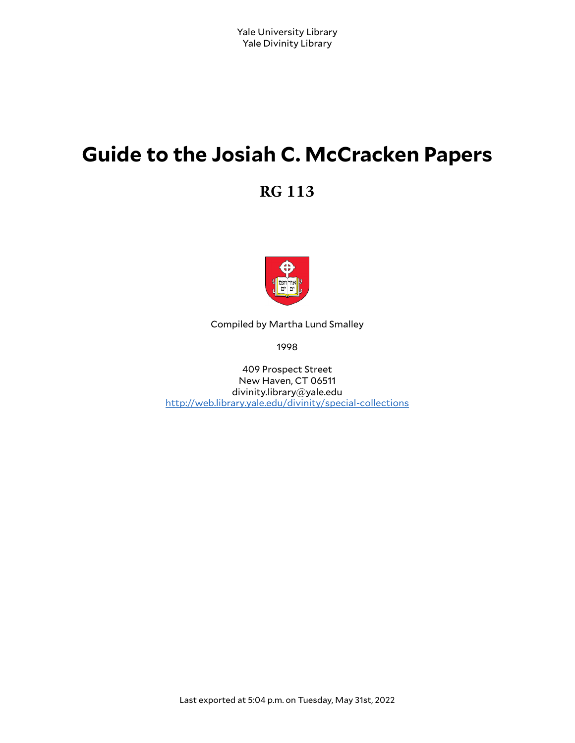# **Guide to the Josiah C. McCracken Papers**

**RG 113**



Compiled by Martha Lund Smalley

1998

409 Prospect Street New Haven, CT 06511 divinity.library@yale.edu <http://web.library.yale.edu/divinity/special-collections>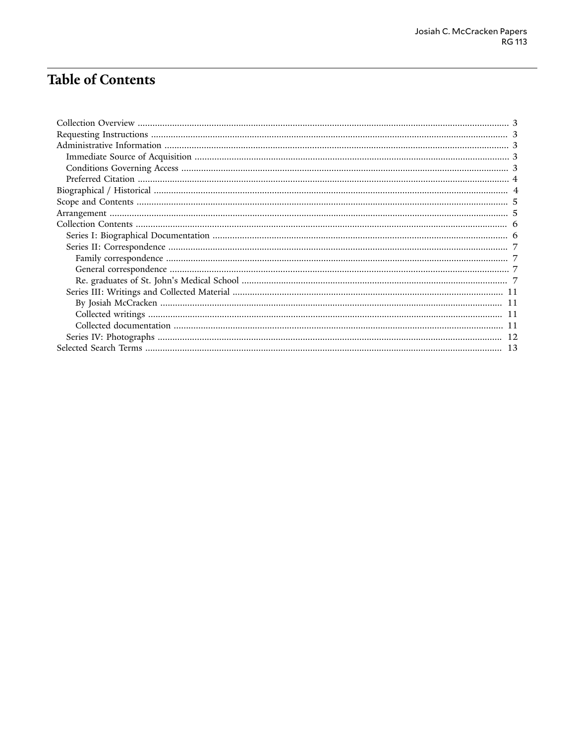# **Table of Contents**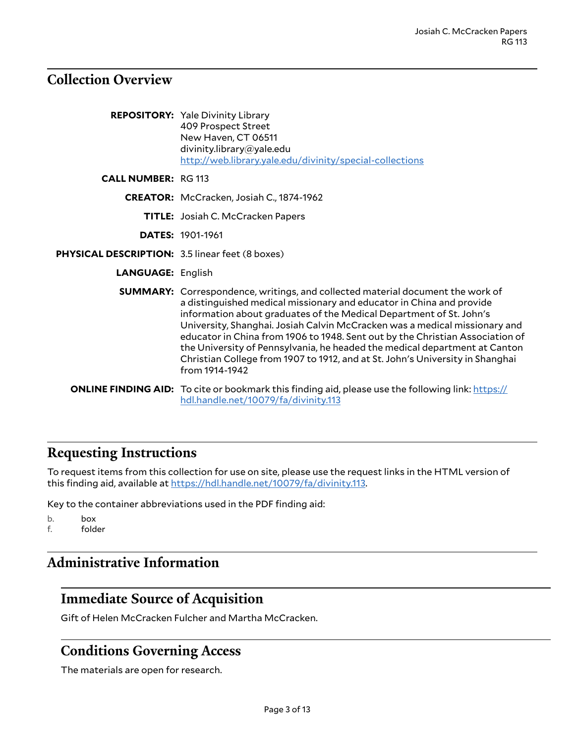### <span id="page-2-0"></span>**Collection Overview**

|                                                 | <b>REPOSITORY:</b> Yale Divinity Library<br>409 Prospect Street<br>New Haven, CT 06511<br>divinity.library@yale.edu<br>http://web.library.yale.edu/divinity/special-collections                                                                                                                                                                                                                                                                                                                                                                                               |
|-------------------------------------------------|-------------------------------------------------------------------------------------------------------------------------------------------------------------------------------------------------------------------------------------------------------------------------------------------------------------------------------------------------------------------------------------------------------------------------------------------------------------------------------------------------------------------------------------------------------------------------------|
| <b>CALL NUMBER: RG 113</b>                      |                                                                                                                                                                                                                                                                                                                                                                                                                                                                                                                                                                               |
|                                                 | CREATOR: McCracken, Josiah C., 1874-1962                                                                                                                                                                                                                                                                                                                                                                                                                                                                                                                                      |
|                                                 | <b>TITLE:</b> Josiah C. McCracken Papers                                                                                                                                                                                                                                                                                                                                                                                                                                                                                                                                      |
|                                                 | <b>DATES: 1901-1961</b>                                                                                                                                                                                                                                                                                                                                                                                                                                                                                                                                                       |
| PHYSICAL DESCRIPTION: 3.5 linear feet (8 boxes) |                                                                                                                                                                                                                                                                                                                                                                                                                                                                                                                                                                               |
| <b>LANGUAGE: English</b>                        |                                                                                                                                                                                                                                                                                                                                                                                                                                                                                                                                                                               |
|                                                 | SUMMARY: Correspondence, writings, and collected material document the work of<br>a distinguished medical missionary and educator in China and provide<br>information about graduates of the Medical Department of St. John's<br>University, Shanghai. Josiah Calvin McCracken was a medical missionary and<br>educator in China from 1906 to 1948. Sent out by the Christian Association of<br>the University of Pennsylvania, he headed the medical department at Canton<br>Christian College from 1907 to 1912, and at St. John's University in Shanghai<br>from 1914-1942 |
|                                                 | <b>ONLINE FINDING AID:</b> To cite or bookmark this finding aid, please use the following link: https://<br>hdl.handle.net/10079/fa/divinity.113                                                                                                                                                                                                                                                                                                                                                                                                                              |

### <span id="page-2-1"></span>**Requesting Instructions**

To request items from this collection for use on site, please use the request links in the HTML version of this finding aid, available at <https://hdl.handle.net/10079/fa/divinity.113>.

Key to the container abbreviations used in the PDF finding aid:

b. box<br>f. fold folder

## <span id="page-2-2"></span>**Administrative Information**

### <span id="page-2-3"></span>**Immediate Source of Acquisition**

Gift of Helen McCracken Fulcher and Martha McCracken.

### <span id="page-2-4"></span>**Conditions Governing Access**

The materials are open for research.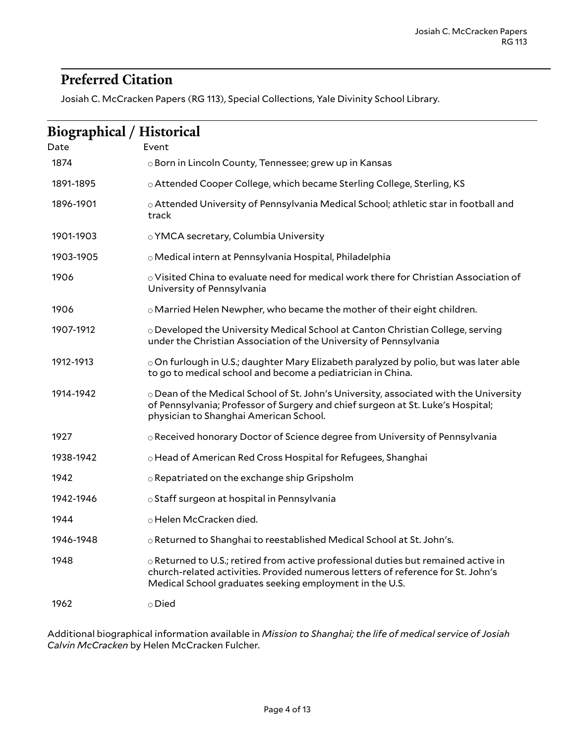# <span id="page-3-0"></span>**Preferred Citation**

Josiah C. McCracken Papers (RG 113), Special Collections, Yale Divinity School Library.

<span id="page-3-1"></span>

| <b>Biographical / Historical</b> |                                                                                                                                                                                                                                         |
|----------------------------------|-----------------------------------------------------------------------------------------------------------------------------------------------------------------------------------------------------------------------------------------|
| Date                             | Event                                                                                                                                                                                                                                   |
| 1874                             | ⊙ Born in Lincoln County, Tennessee; grew up in Kansas                                                                                                                                                                                  |
| 1891-1895                        | o Attended Cooper College, which became Sterling College, Sterling, KS                                                                                                                                                                  |
| 1896-1901                        | o Attended University of Pennsylvania Medical School; athletic star in football and<br>track                                                                                                                                            |
| 1901-1903                        | o YMCA secretary, Columbia University                                                                                                                                                                                                   |
| 1903-1905                        | o Medical intern at Pennsylvania Hospital, Philadelphia                                                                                                                                                                                 |
| 1906                             | o Visited China to evaluate need for medical work there for Christian Association of<br>University of Pennsylvania                                                                                                                      |
| 1906                             | $\circ$ Married Helen Newpher, who became the mother of their eight children.                                                                                                                                                           |
| 1907-1912                        | ○ Developed the University Medical School at Canton Christian College, serving<br>under the Christian Association of the University of Pennsylvania                                                                                     |
| 1912-1913                        | $\circ$ On furlough in U.S.; daughter Mary Elizabeth paralyzed by polio, but was later able<br>to go to medical school and become a pediatrician in China.                                                                              |
| 1914-1942                        | $\circ$ Dean of the Medical School of St. John's University, associated with the University<br>of Pennsylvania; Professor of Surgery and chief surgeon at St. Luke's Hospital;<br>physician to Shanghai American School.                |
| 1927                             | ○ Received honorary Doctor of Science degree from University of Pennsylvania                                                                                                                                                            |
| 1938-1942                        | o Head of American Red Cross Hospital for Refugees, Shanghai                                                                                                                                                                            |
| 1942                             | o Repatriated on the exchange ship Gripsholm                                                                                                                                                                                            |
| 1942-1946                        | ○ Staff surgeon at hospital in Pennsylvania                                                                                                                                                                                             |
| 1944                             | o Helen McCracken died.                                                                                                                                                                                                                 |
| 1946-1948                        | o Returned to Shanghai to reestablished Medical School at St. John's.                                                                                                                                                                   |
| 1948                             | $\circ$ Returned to U.S.; retired from active professional duties but remained active in<br>church-related activities. Provided numerous letters of reference for St. John's<br>Medical School graduates seeking employment in the U.S. |
| 1962                             | $\circ$ Died                                                                                                                                                                                                                            |

Additional biographical information available in *Mission to Shanghai; the life of medical service of Josiah Calvin McCracken* by Helen McCracken Fulcher.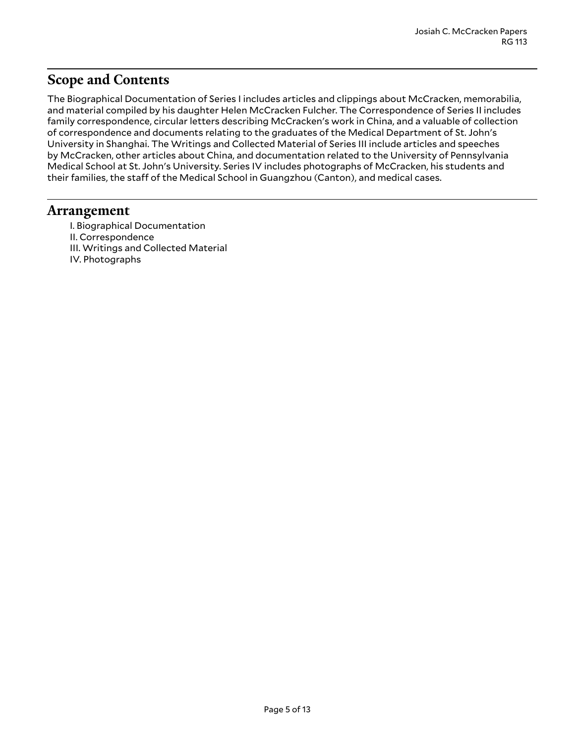### <span id="page-4-0"></span>**Scope and Contents**

The Biographical Documentation of Series I includes articles and clippings about McCracken, memorabilia, and material compiled by his daughter Helen McCracken Fulcher. The Correspondence of Series II includes family correspondence, circular letters describing McCracken's work in China, and a valuable of collection of correspondence and documents relating to the graduates of the Medical Department of St. John's University in Shanghai. The Writings and Collected Material of Series III include articles and speeches by McCracken, other articles about China, and documentation related to the University of Pennsylvania Medical School at St. John's University. Series IV includes photographs of McCracken, his students and their families, the staff of the Medical School in Guangzhou (Canton), and medical cases.

#### <span id="page-4-1"></span>**Arrangement**

- I. Biographical Documentation
- II. Correspondence
- III. Writings and Collected Material
- IV. Photographs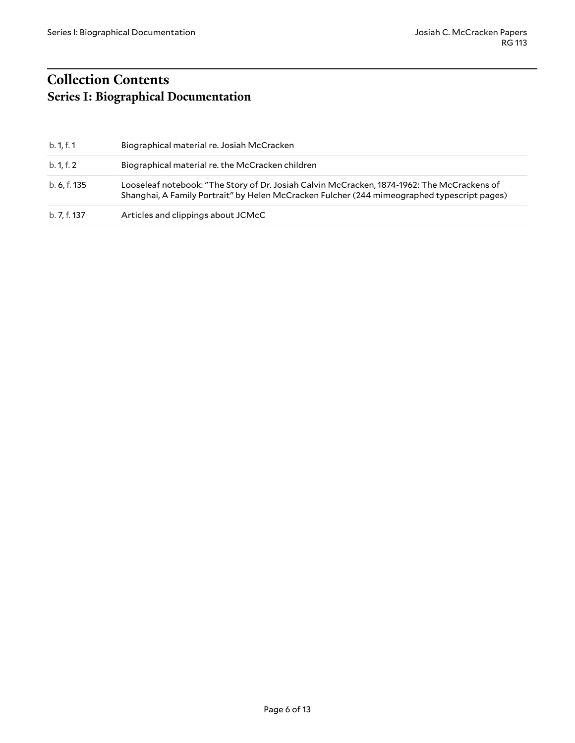# <span id="page-5-1"></span><span id="page-5-0"></span>**Collection Contents Series I: Biographical Documentation**

| b. 1, f. 1   | Biographical material re. Josiah McCracken                                                                                                                                                 |
|--------------|--------------------------------------------------------------------------------------------------------------------------------------------------------------------------------------------|
| b. 1, f. 2   | Biographical material re. the McCracken children                                                                                                                                           |
| b. 6, f. 135 | Looseleaf notebook: "The Story of Dr. Josiah Calvin McCracken, 1874-1962: The McCrackens of<br>Shanghai, A Family Portrait" by Helen McCracken Fulcher (244 mimeographed typescript pages) |
| b. 7, f. 137 | Articles and clippings about JCMcC                                                                                                                                                         |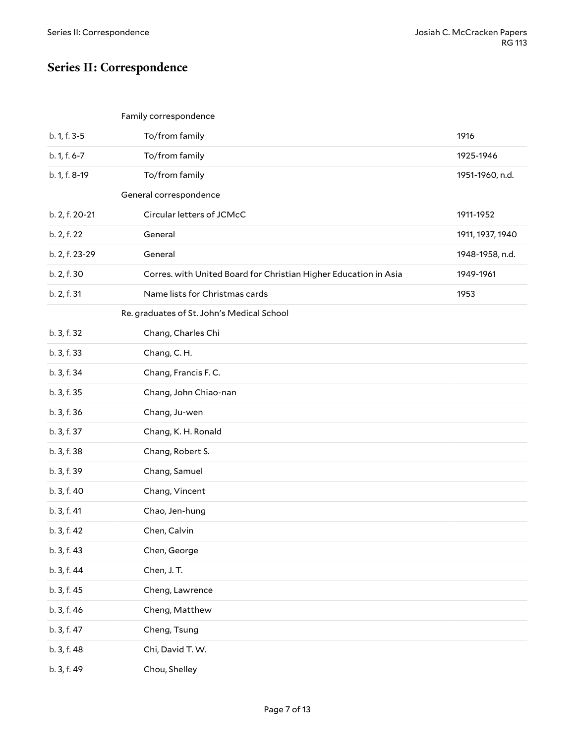# <span id="page-6-0"></span>**Series II: Correspondence**

<span id="page-6-2"></span><span id="page-6-1"></span>

| Family correspondence |  |
|-----------------------|--|
|-----------------------|--|

<span id="page-6-3"></span>

| b. 1, f. 3-5   | To/from family                                                   | 1916             |
|----------------|------------------------------------------------------------------|------------------|
| b. 1, f. 6-7   | To/from family                                                   | 1925-1946        |
| b. 1, f. 8-19  | To/from family                                                   | 1951-1960, n.d.  |
|                | General correspondence                                           |                  |
| b. 2, f. 20-21 | Circular letters of JCMcC                                        | 1911-1952        |
| b. 2, f. 22    | General                                                          | 1911, 1937, 1940 |
| b. 2, f. 23-29 | General                                                          | 1948-1958, n.d.  |
| b. 2, f. 30    | Corres. with United Board for Christian Higher Education in Asia | 1949-1961        |
| b. 2, f. 31    | Name lists for Christmas cards                                   | 1953             |
|                | Re. graduates of St. John's Medical School                       |                  |
| b. 3, f. 32    | Chang, Charles Chi                                               |                  |
| b. 3, f. 33    | Chang, C.H.                                                      |                  |
| b. 3, f. 34    | Chang, Francis F.C.                                              |                  |
| b. 3, f. 35    | Chang, John Chiao-nan                                            |                  |
| b. 3, f. 36    | Chang, Ju-wen                                                    |                  |
| b. 3, f. 37    | Chang, K. H. Ronald                                              |                  |
| b. 3, f. 38    | Chang, Robert S.                                                 |                  |
| b. 3, f. 39    | Chang, Samuel                                                    |                  |
| b. 3, f. 40    | Chang, Vincent                                                   |                  |
| b. 3, f. 41    | Chao, Jen-hung                                                   |                  |
| b. 3, f. 42    | Chen, Calvin                                                     |                  |
| b. 3, f. 43    | Chen, George                                                     |                  |
| b. 3, f. 44    | Chen, J.T.                                                       |                  |
| b. 3, f. 45    | Cheng, Lawrence                                                  |                  |
| b. 3, f. 46    | Cheng, Matthew                                                   |                  |
| b. 3, f. 47    | Cheng, Tsung                                                     |                  |
| b. 3, f. 48    | Chi, David T. W.                                                 |                  |
| b. 3, f. 49    | Chou, Shelley                                                    |                  |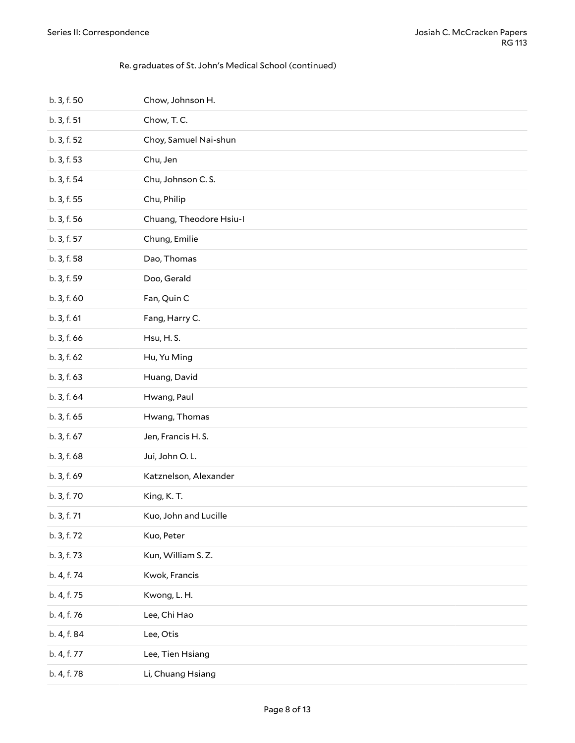#### Re. graduates of St. John's Medical School (continued)

| b. 3, f. 50 | Chow, Johnson H.        |
|-------------|-------------------------|
| b. 3, f. 51 | Chow, T.C.              |
| b. 3, f. 52 | Choy, Samuel Nai-shun   |
| b. 3, f. 53 | Chu, Jen                |
| b. 3, f. 54 | Chu, Johnson C.S.       |
| b. 3, f. 55 | Chu, Philip             |
| b. 3, f. 56 | Chuang, Theodore Hsiu-I |
| b. 3, f. 57 | Chung, Emilie           |
| b. 3, f. 58 | Dao, Thomas             |
| b. 3, f. 59 | Doo, Gerald             |
| b. 3, f. 60 | Fan, Quin C             |
| b. 3, f. 61 | Fang, Harry C.          |
| b. 3, f. 66 | Hsu, H.S.               |
| b. 3, f. 62 | Hu, Yu Ming             |
| b. 3, f. 63 | Huang, David            |
| b. 3, f. 64 | Hwang, Paul             |
| b. 3, f. 65 | Hwang, Thomas           |
| b. 3, f. 67 | Jen, Francis H.S.       |
| b. 3, f. 68 | Jui, John O.L.          |
| b. 3, f. 69 | Katznelson, Alexander   |
| b. 3, f. 70 | King, K.T.              |
| b. 3, f. 71 | Kuo, John and Lucille   |
| b. 3, f. 72 | Kuo, Peter              |
| b. 3, f. 73 | Kun, William S.Z.       |
| b. 4, f. 74 | Kwok, Francis           |
| b. 4, f. 75 | Kwong, L. H.            |
| b. 4, f. 76 | Lee, Chi Hao            |
| b. 4, f. 84 | Lee, Otis               |
| b. 4, f. 77 | Lee, Tien Hsiang        |
| b. 4, f. 78 | Li, Chuang Hsiang       |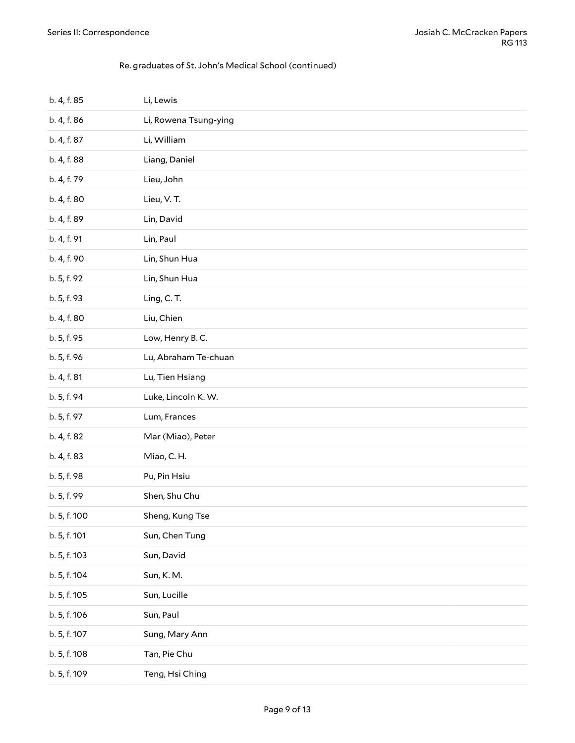#### Re. graduates of St. John's Medical School (continued)

| b. 4, f. 85  | Li, Lewis             |
|--------------|-----------------------|
| b. 4, f. 86  | Li, Rowena Tsung-ying |
| b. 4, f. 87  | Li, William           |
| b. 4, f. 88  | Liang, Daniel         |
| b. 4, f. 79  | Lieu, John            |
| b. 4, f. 80  | Lieu, V. T.           |
| b. 4, f. 89  | Lin, David            |
| b. 4, f. 91  | Lin, Paul             |
| b. 4, f. 90  | Lin, Shun Hua         |
| b. 5, f. 92  | Lin, Shun Hua         |
| b. 5, f. 93  | Ling, C.T.            |
| b. 4, f. 80  | Liu, Chien            |
| b. 5, f. 95  | Low, Henry B.C.       |
| b. 5, f. 96  | Lu, Abraham Te-chuan  |
| b. 4, f. 81  | Lu, Tien Hsiang       |
| b. 5, f. 94  | Luke, Lincoln K. W.   |
| b. 5, f. 97  | Lum, Frances          |
| b. 4, f. 82  | Mar (Miao), Peter     |
| b. 4, f. 83  | Miao, C.H.            |
| b. 5, f. 98  | Pu, Pin Hsiu          |
| b. 5, f. 99  | Shen, Shu Chu         |
| b. 5, f. 100 | Sheng, Kung Tse       |
| b. 5, f. 101 | Sun, Chen Tung        |
| b. 5, f. 103 | Sun, David            |
| b. 5, f. 104 | Sun, K. M.            |
| b. 5, f. 105 | Sun, Lucille          |
| b. 5, f. 106 | Sun, Paul             |
| b. 5, f. 107 | Sung, Mary Ann        |
| b. 5, f. 108 | Tan, Pie Chu          |
| b. 5, f. 109 | Teng, Hsi Ching       |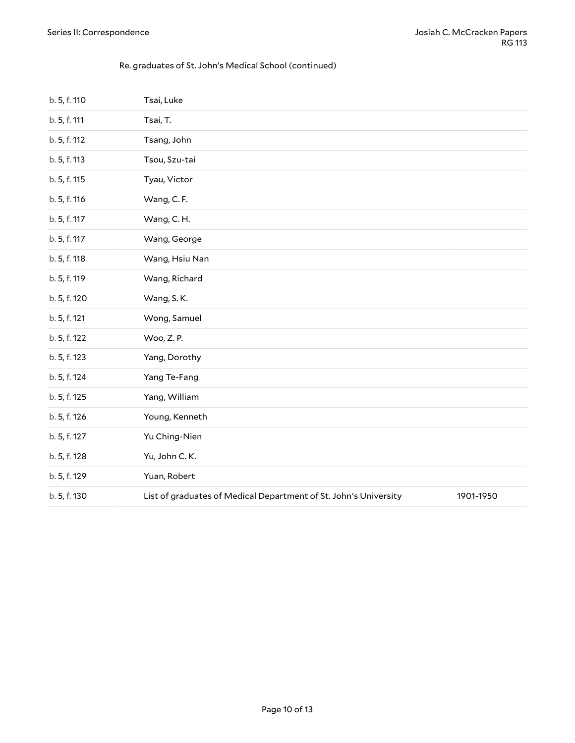#### Re. graduates of St. John's Medical School (continued)

| b. 5, f. 110 | Tsai, Luke                                                       |           |
|--------------|------------------------------------------------------------------|-----------|
| b. 5, f. 111 | Tsai, T.                                                         |           |
| b. 5, f. 112 | Tsang, John                                                      |           |
| b. 5, f. 113 | Tsou, Szu-tai                                                    |           |
| b. 5, f. 115 | Tyau, Victor                                                     |           |
| b. 5, f. 116 | Wang, C.F.                                                       |           |
| b. 5, f. 117 | Wang, C.H.                                                       |           |
| b. 5, f. 117 | Wang, George                                                     |           |
| b. 5, f. 118 | Wang, Hsiu Nan                                                   |           |
| b. 5, f. 119 | Wang, Richard                                                    |           |
| b. 5, f. 120 | Wang, S.K.                                                       |           |
| b. 5, f. 121 | Wong, Samuel                                                     |           |
| b. 5, f. 122 | Woo, Z.P.                                                        |           |
| b. 5, f. 123 | Yang, Dorothy                                                    |           |
| b. 5, f. 124 | Yang Te-Fang                                                     |           |
| b. 5, f. 125 | Yang, William                                                    |           |
| b. 5, f. 126 | Young, Kenneth                                                   |           |
| b. 5, f. 127 | Yu Ching-Nien                                                    |           |
| b. 5, f. 128 | Yu, John C.K.                                                    |           |
| b. 5, f. 129 | Yuan, Robert                                                     |           |
| b. 5, f. 130 | List of graduates of Medical Department of St. John's University | 1901-1950 |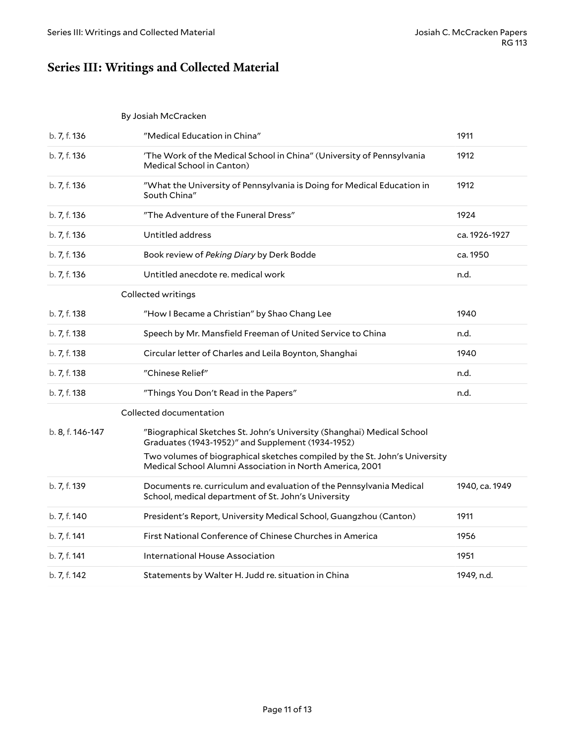# <span id="page-10-0"></span>**Series III: Writings and Collected Material**

<span id="page-10-2"></span><span id="page-10-1"></span>By Josiah McCracken

<span id="page-10-3"></span>

| b. 7, f. 136     | "Medical Education in China"                                                                                                           | 1911           |
|------------------|----------------------------------------------------------------------------------------------------------------------------------------|----------------|
| b. 7, f. 136     | 'The Work of the Medical School in China" (University of Pennsylvania<br>Medical School in Canton)                                     | 1912           |
| b. 7, f. 136     | "What the University of Pennsylvania is Doing for Medical Education in<br>South China"                                                 | 1912           |
| b. 7, f. 136     | "The Adventure of the Funeral Dress"                                                                                                   | 1924           |
| b. 7, f. 136     | Untitled address                                                                                                                       | ca. 1926-1927  |
| b. 7, f. 136     | Book review of Peking Diary by Derk Bodde                                                                                              | ca. 1950       |
| b. 7, f. 136     | Untitled anecdote re. medical work                                                                                                     | n.d.           |
|                  | Collected writings                                                                                                                     |                |
| b. 7, f. 138     | "How I Became a Christian" by Shao Chang Lee                                                                                           | 1940           |
| b. 7, f. 138     | Speech by Mr. Mansfield Freeman of United Service to China                                                                             | n.d.           |
| b. 7, f. 138     | Circular letter of Charles and Leila Boynton, Shanghai                                                                                 | 1940           |
| b. 7, f. 138     | "Chinese Relief"                                                                                                                       | n.d.           |
| b. 7, f. 138     | "Things You Don't Read in the Papers"                                                                                                  | n.d.           |
|                  | Collected documentation                                                                                                                |                |
| b. 8, f. 146-147 | "Biographical Sketches St. John's University (Shanghai) Medical School<br>Graduates (1943-1952)" and Supplement (1934-1952)            |                |
|                  | Two volumes of biographical sketches compiled by the St. John's University<br>Medical School Alumni Association in North America, 2001 |                |
| b. 7, f. 139     | Documents re. curriculum and evaluation of the Pennsylvania Medical<br>School, medical department of St. John's University             | 1940, ca. 1949 |
| b. 7, f. 140     | President's Report, University Medical School, Guangzhou (Canton)                                                                      | 1911           |
| b. 7, f. 141     | First National Conference of Chinese Churches in America                                                                               | 1956           |
| b. 7, f. 141     | International House Association                                                                                                        | 1951           |
| b. 7, f. 142     | Statements by Walter H. Judd re. situation in China                                                                                    | 1949, n.d.     |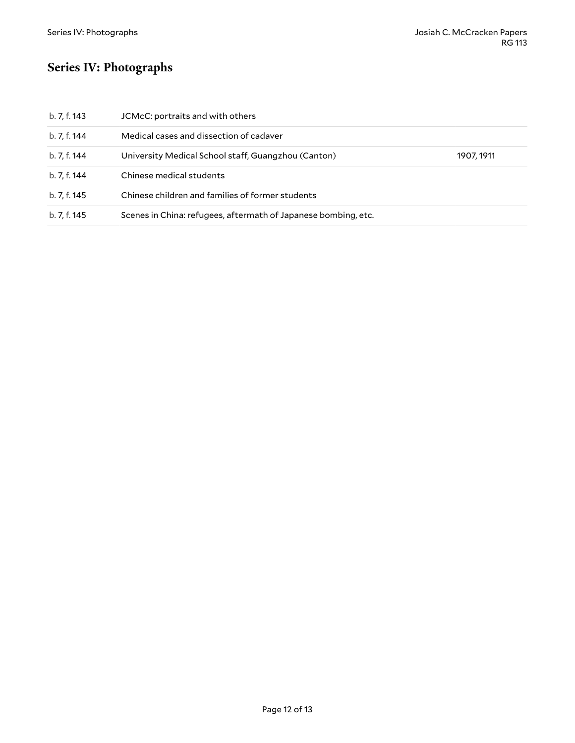# <span id="page-11-0"></span>**Series IV: Photographs**

| b. 7, f. 143 | JCMcC: portraits and with others                               |            |
|--------------|----------------------------------------------------------------|------------|
| b. 7, f. 144 | Medical cases and dissection of cadaver                        |            |
| b. 7, f. 144 | University Medical School staff, Guangzhou (Canton)            | 1907, 1911 |
| b. 7, f. 144 | Chinese medical students                                       |            |
| b. 7, f. 145 | Chinese children and families of former students               |            |
| b. 7, f. 145 | Scenes in China: refugees, aftermath of Japanese bombing, etc. |            |